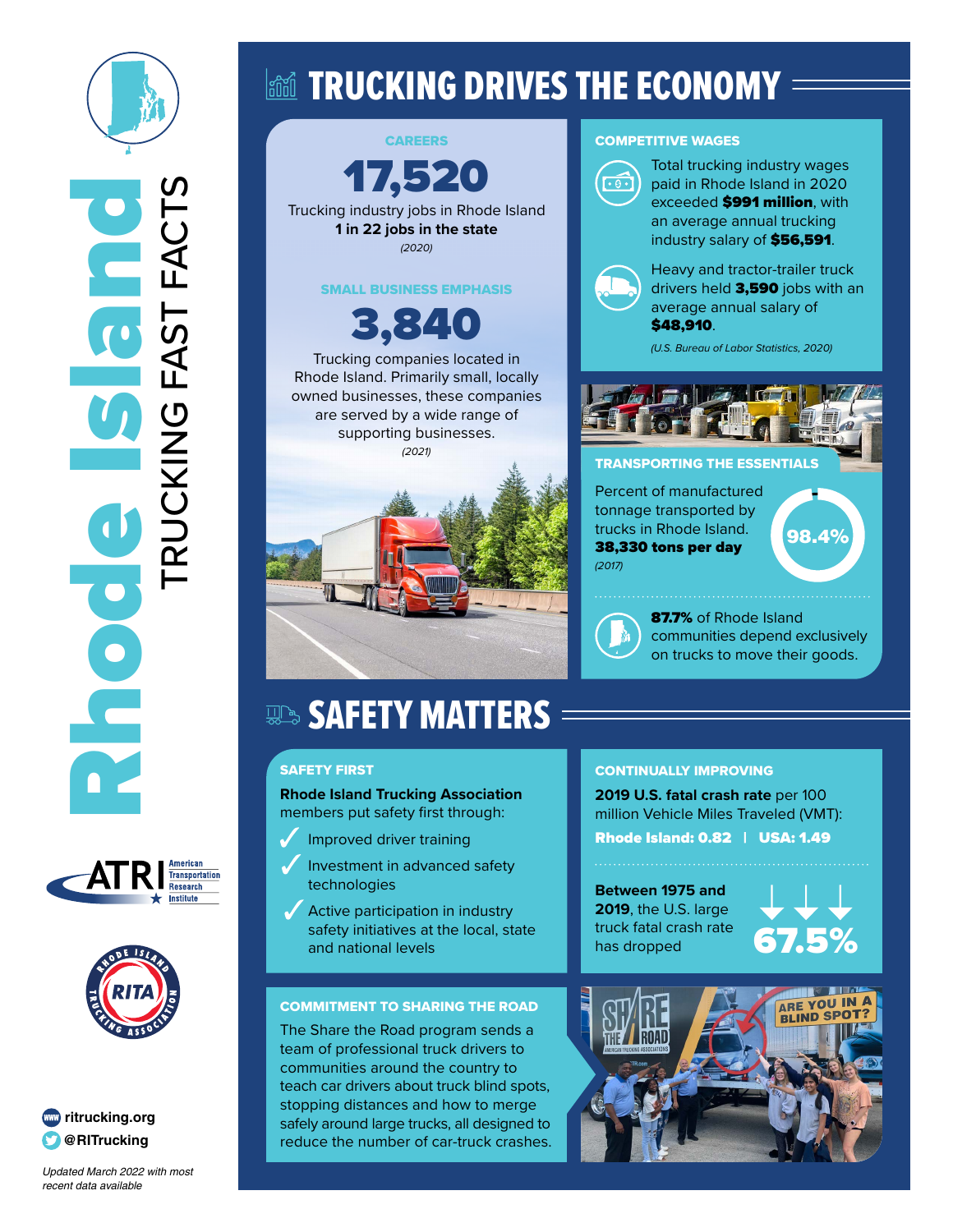







*Updated March 2022 with most*  recent data available

# land TRUCKING DRIVES THE ECONOMY =

CAREERS 17,520 Trucking industry jobs in Rhode Island **1 in 22 jobs in the state** *(2020)* SMALL BUSINESS EMPHASIS 3,840 Trucking companies located in Rhode Island. Primarily small, locally owned businesses, these companies are served by a wide range of supporting businesses. *(2021)*

#### COMPETITIVE WAGES



Total trucking industry wages paid in Rhode Island in 2020 exceeded **\$991 million**, with an average annual trucking industry salary of \$56,591.

Heavy and tractor-trailer truck drivers held 3,590 jobs with an average annual salary of \$48,910.

*(U.S. Bureau of Labor Statistics, 2020)*



#### TRANSPORTING THE ESSENTIALS

Percent of manufactured tonnage transported by trucks in Rhode Island. 38,330 tons per day *(2017)*

98.4%

87.7% of Rhode Island communities depend exclusively on trucks to move their goods.

# **SAFETY MATTERS**

#### SAFETY FIRST

**Rhode Island Trucking Association** members put safety first through:

- $\mathcal{J}$ Improved driver training
- Investment in advanced safety technologies
- Active participation in industry safety initiatives at the local, state and national levels

#### COMMITMENT TO SHARING THE ROAD

The Share the Road program sends a team of professional truck drivers to communities around the country to teach car drivers about truck blind spots, stopping distances and how to merge safely around large trucks, all designed to reduce the number of car-truck crashes.

## CONTINUALLY IMPROVING

**2019 U.S. fatal crash rate** per 100 million Vehicle Miles Traveled (VMT): Rhode Island: 0.82 | USA: 1.49

**Between 1975 and 2019**, the U.S. large truck fatal crash rate has dropped